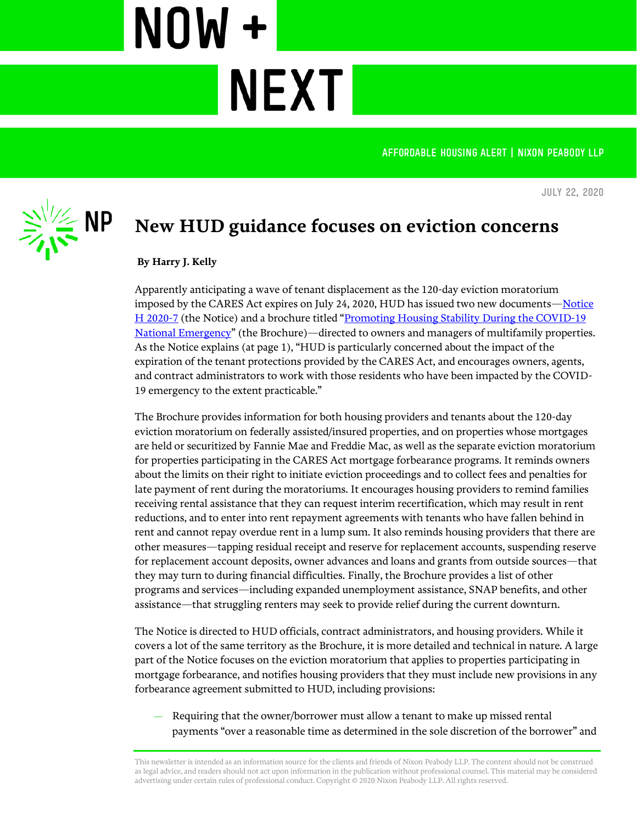AFFORDABLE HOUSING ALERT | NIXON PEABODY LLP

**July 22, 2020**



## **New HUD guidance focuses on eviction concerns**

**NEXT** 

## **By Harry J. Kelly**

NOW +

Apparently anticipating a wave of tenant displacement as the 120-day eviction moratorium imposed by the CARES Act expires on July 24, 2020, HUD has issued two new documents—[Notice](https://www.hud.gov/sites/dfiles/OCHCO/documents/20-07hsgn.pdf.pdf)  [H 2020-7](https://www.hud.gov/sites/dfiles/OCHCO/documents/20-07hsgn.pdf.pdf) (the Notice) and a brochure titled "Promoting Housing Stability During the COVID-19 [National Emergency](https://www.hud.gov/sites/dfiles/Housing/documents/Tenant_Brochure_Final.pdf)" (the Brochure)—directed to owners and managers of multifamily properties. As the Notice explains (at page 1), "HUD is particularly concerned about the impact of the expiration of the tenant protections provided by the CARES Act, and encourages owners, agents, and contract administrators to work with those residents who have been impacted by the COVID-19 emergency to the extent practicable."

The Brochure provides information for both housing providers and tenants about the 120-day eviction moratorium on federally assisted/insured properties, and on properties whose mortgages are held or securitized by Fannie Mae and Freddie Mac, as well as the separate eviction moratorium for properties participating in the CARES Act mortgage forbearance programs. It reminds owners about the limits on their right to initiate eviction proceedings and to collect fees and penalties for late payment of rent during the moratoriums. It encourages housing providers to remind families receiving rental assistance that they can request interim recertification, which may result in rent reductions, and to enter into rent repayment agreements with tenants who have fallen behind in rent and cannot repay overdue rent in a lump sum. It also reminds housing providers that there are other measures—tapping residual receipt and reserve for replacement accounts, suspending reserve for replacement account deposits, owner advances and loans and grants from outside sources—that they may turn to during financial difficulties. Finally, the Brochure provides a list of other programs and services—including expanded unemployment assistance, SNAP benefits, and other assistance—that struggling renters may seek to provide relief during the current downturn.

The Notice is directed to HUD officials, contract administrators, and housing providers. While it covers a lot of the same territory as the Brochure, it is more detailed and technical in nature. A large part of the Notice focuses on the eviction moratorium that applies to properties participating in mortgage forbearance, and notifies housing providers that they must include new provisions in any forbearance agreement submitted to HUD, including provisions:

— Requiring that the owner/borrower must allow a tenant to make up missed rental payments "over a reasonable time as determined in the sole discretion of the borrower" and

This newsletter is intended as an information source for the clients and friends of Nixon Peabody LLP. The content should not be construed as legal advice, and readers should not act upon information in the publication without professional counsel. This material may be considered advertising under certain rules of professional conduct. Copyright © 2020 Nixon Peabody LLP. All rights reserved.